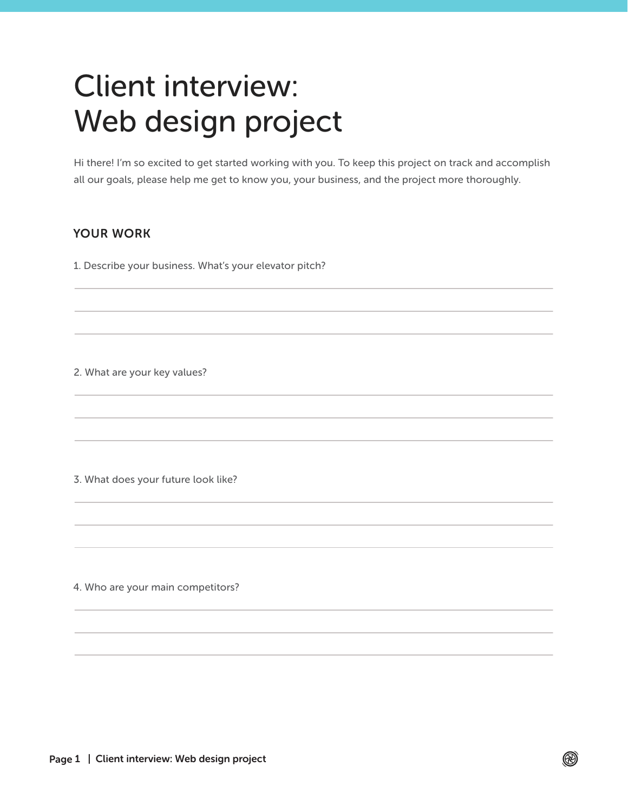# Client interview: Web design project

Hi there! I'm so excited to get started working with you. To keep this project on track and accomplish all our goals, please help me get to know you, your business, and the project more thoroughly.

 $\circledR$ 

### YOUR WORK

1. Describe your business. What's your elevator pitch?

2. What are your key values?

3. What does your future look like?

4. Who are your main competitors?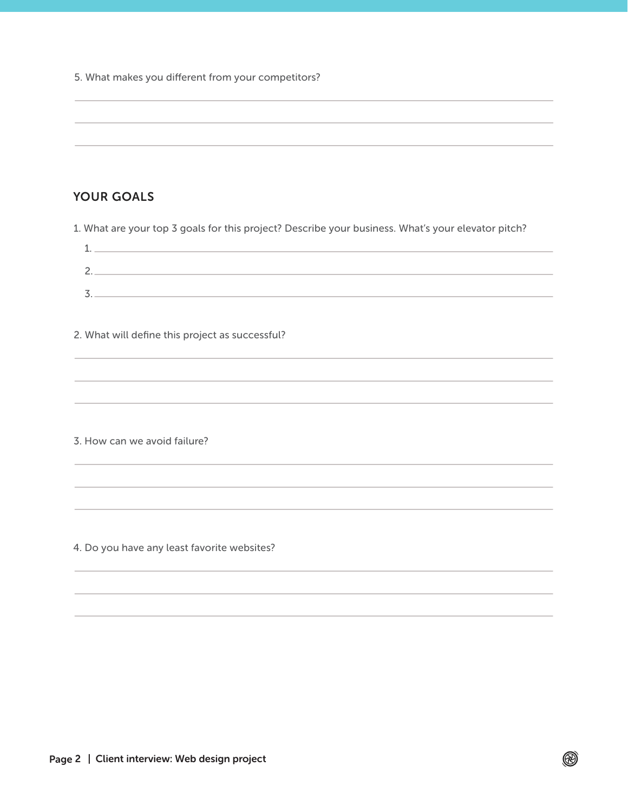5. What makes you different from your competitors?

## YOUR GOALS

1. What are your top 3 goals for this project? Describe your business. What's your elevator pitch?

2. What will define this project as successful?

3. How can we avoid failure?

4. Do you have any least favorite websites?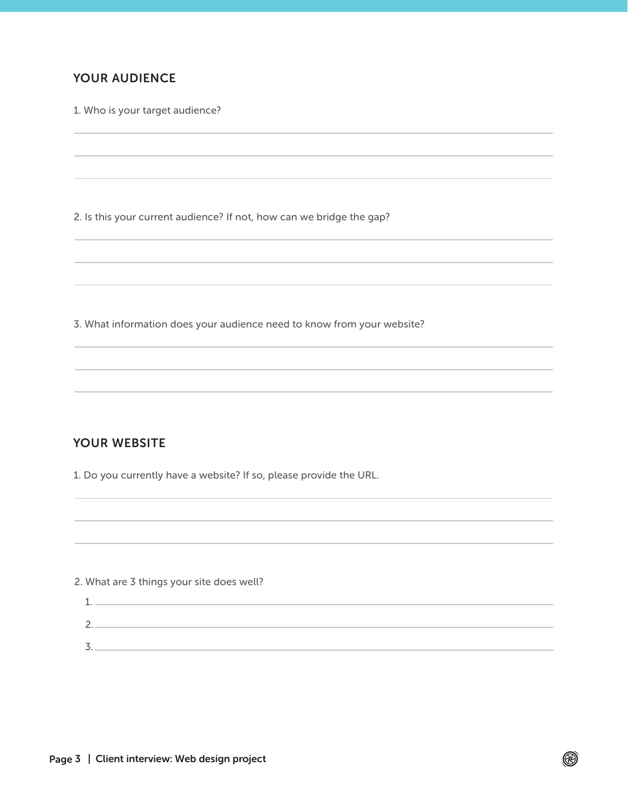## YOUR AUDIENCE

1. Who is your target audience?

2. Is this your current audience? If not, how can we bridge the gap?

3. What information does your audience need to know from your website?

#### YOUR WEBSITE

1. Do you currently have a website? If so, please provide the URL.

2. What are 3 things your site does well?

1. 2. 3.